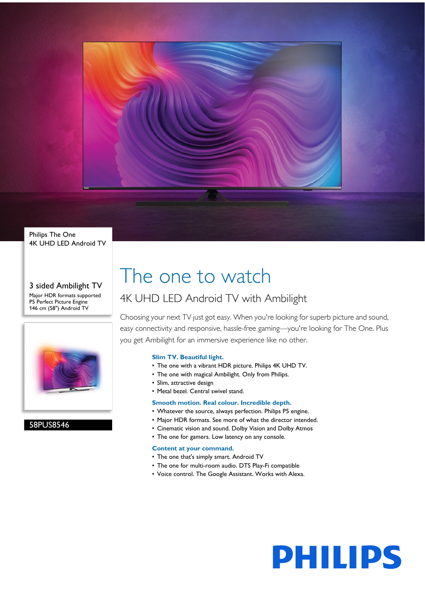

Philips The One 4K UHD LED Android TV

#### 3 sided Ambilight TV Major HDR formats supported P5 Perfect Picture Engine 146 cm (58") Android TV



58PUS8546

# The one to watch

# 4K UHD LED Android TV with Ambilight

Choosing your next TV just got easy. When you're looking for superb picture and sound, easy connectivity and responsive, hassle-free gaming—you're looking for The One. Plus you get Ambilight for an immersive experience like no other.

# **Slim TV. Beautiful light.**

- The one with a vibrant HDR picture. Philips 4K UHD TV.
- The one with magical Ambilight. Only from Philips.
- Slim, attractive design
- Metal bezel. Central swivel stand.

## **Smooth motion. Real colour. Incredible depth.**

- Whatever the source, always perfection. Philips P5 engine.
- Major HDR formats. See more of what the director intended.
- Cinematic vision and sound. Dolby Vision and Dolby Atmos
- The one for gamers. Low latency on any console.

#### **Content at your command.**

- The one that's simply smart. Android TV
- The one for multi-room audio. DTS Play-Fi compatible
- Voice control. The Google Assistant. Works with Alexa.

**PHILIPS**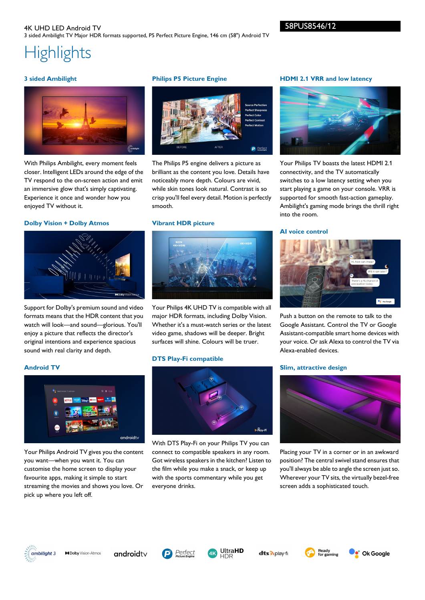# **Highlights**

### **3 sided Ambilight**



With Philips Ambilight, every moment feels closer. Intelligent LEDs around the edge of the TV respond to the on-screen action and emit an immersive glow that's simply captivating. Experience it once and wonder how you enjoyed TV without it.

#### **Dolby Vision + Dolby Atmos**



Support for Dolby's premium sound and video formats means that the HDR content that you watch will look—and sound—glorious. You'll enjoy a picture that reflects the director's original intentions and experience spacious sound with real clarity and depth.

Your Philips Android TV gives you the content you want—when you want it. You can customise the home screen to display your favourite apps, making it simple to start streaming the movies and shows you love. Or

# **Philips P5 Picture Engine**



The Philips P5 engine delivers a picture as brilliant as the content you love. Details have noticeably more depth. Colours are vivid, while skin tones look natural. Contrast is so crisp you'll feel every detail. Motion is perfectly smooth.

#### **Vibrant HDR picture**



Your Philips 4K UHD TV is compatible with all major HDR formats, including Dolby Vision. Whether it's a must-watch series or the latest video game, shadows will be deeper. Bright surfaces will shine. Colours will be truer.

#### **DTS Play-Fi compatible**



With DTS Play-Fi on your Philips TV you can connect to compatible speakers in any room. Got wireless speakers in the kitchen? Listen to the film while you make a snack, or keep up with the sports commentary while you get everyone drinks.

#### **HDMI 2.1 VRR and low latency**



Your Philips TV boasts the latest HDMI 2.1 connectivity, and the TV automatically switches to a low latency setting when you start playing a game on your console. VRR is supported for smooth fast-action gameplay. Ambilight's gaming mode brings the thrill right into the room.

#### **AI voice control**



Push a button on the remote to talk to the Google Assistant. Control the TV or Google Assistant-compatible smart home devices with your voice. Or ask Alexa to control the TV via Alexa-enabled devices.

#### **Slim, attractive design**



Placing your TV in a corner or in an awkward position? The central swivel stand ensures that you'll always be able to angle the screen just so. Wherever your TV sits, the virtually bezel-free screen adds a sophisticated touch.



**Android TV**

**MDolby** Vision-Atmos

pick up where you left off.

androidty

 $android$ t $\lor$ 





dts Aplay-fr